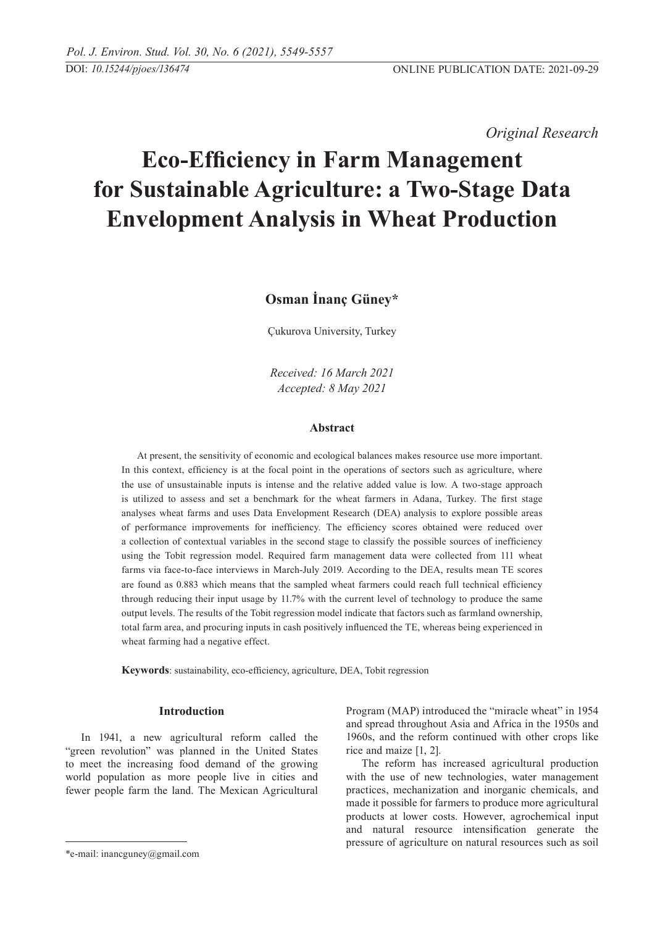*Original Research* 

# **Eco-Efficiency in Farm Management for Sustainable Agriculture: a Two-Stage Data Envelopment Analysis in Wheat Production**

# **Osman İnanç Güney\***

Çukurova University, Turkey

*Received: 16 March 2021 Accepted: 8 May 2021*

# **Abstract**

At present, the sensitivity of economic and ecological balances makes resource use more important. In this context, efficiency is at the focal point in the operations of sectors such as agriculture, where the use of unsustainable inputs is intense and the relative added value is low. A two-stage approach is utilized to assess and set a benchmark for the wheat farmers in Adana, Turkey. The first stage analyses wheat farms and uses Data Envelopment Research (DEA) analysis to explore possible areas of performance improvements for inefficiency. The efficiency scores obtained were reduced over a collection of contextual variables in the second stage to classify the possible sources of inefficiency using the Tobit regression model. Required farm management data were collected from 111 wheat farms via face-to-face interviews in March-July 2019. According to the DEA, results mean TE scores are found as 0.883 which means that the sampled wheat farmers could reach full technical efficiency through reducing their input usage by 11.7% with the current level of technology to produce the same output levels. The results of the Tobit regression model indicate that factors such as farmland ownership, total farm area, and procuring inputs in cash positively influenced the TE, whereas being experienced in wheat farming had a negative effect.

**Keywords**: sustainability, eco-efficiency, agriculture, DEA, Tobit regression

# **Introduction**

In 1941, a new agricultural reform called the "green revolution" was planned in the United States to meet the increasing food demand of the growing world population as more people live in cities and fewer people farm the land. The Mexican Agricultural Program (MAP) introduced the "miracle wheat" in 1954 and spread throughout Asia and Africa in the 1950s and 1960s, and the reform continued with other crops like rice and maize [1, 2].

The reform has increased agricultural production with the use of new technologies, water management practices, mechanization and inorganic chemicals, and made it possible for farmers to produce more agricultural products at lower costs. However, agrochemical input and natural resource intensification generate the pressure of agriculture on natural resources such as soil

<sup>\*</sup>e-mail: inancguney@gmail.com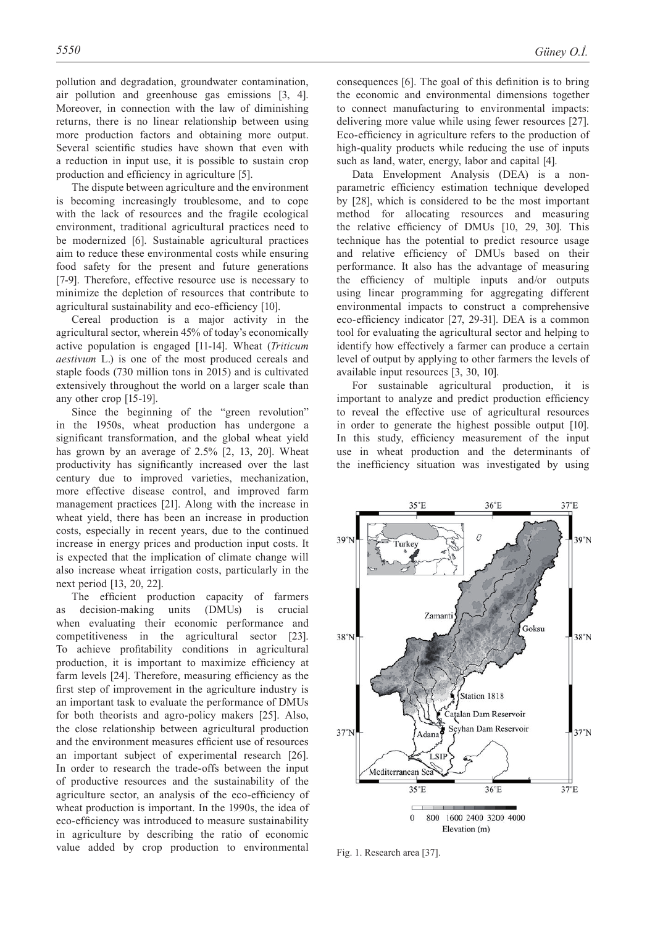pollution and degradation, groundwater contamination, air pollution and greenhouse gas emissions [3, 4]. Moreover, in connection with the law of diminishing returns, there is no linear relationship between using more production factors and obtaining more output. Several scientific studies have shown that even with a reduction in input use, it is possible to sustain crop production and efficiency in agriculture [5].

The dispute between agriculture and the environment is becoming increasingly troublesome, and to cope with the lack of resources and the fragile ecological environment, traditional agricultural practices need to be modernized [6]. Sustainable agricultural practices aim to reduce these environmental costs while ensuring food safety for the present and future generations [7-9]. Therefore, effective resource use is necessary to minimize the depletion of resources that contribute to agricultural sustainability and eco-efficiency [10].

Cereal production is a major activity in the agricultural sector, wherein 45% of today's economically active population is engaged [11-14]. Wheat (*Triticum aestivum* L.) is one of the most produced cereals and staple foods (730 million tons in 2015) and is cultivated extensively throughout the world on a larger scale than any other crop [15-19].

Since the beginning of the "green revolution" in the 1950s, wheat production has undergone a significant transformation, and the global wheat yield has grown by an average of 2.5% [2, 13, 20]. Wheat productivity has significantly increased over the last century due to improved varieties, mechanization, more effective disease control, and improved farm management practices [21]. Along with the increase in wheat yield, there has been an increase in production costs, especially in recent years, due to the continued increase in energy prices and production input costs. It is expected that the implication of climate change will also increase wheat irrigation costs, particularly in the next period [13, 20, 22].

The efficient production capacity of farmers as decision-making units (DMUs) is crucial when evaluating their economic performance and competitiveness in the agricultural sector [23]. To achieve profitability conditions in agricultural production, it is important to maximize efficiency at farm levels [24]. Therefore, measuring efficiency as the first step of improvement in the agriculture industry is an important task to evaluate the performance of DMUs for both theorists and agro-policy makers [25]. Also, the close relationship between agricultural production and the environment measures efficient use of resources an important subject of experimental research [26]. In order to research the trade-offs between the input of productive resources and the sustainability of the agriculture sector, an analysis of the eco-efficiency of wheat production is important. In the 1990s, the idea of eco-efficiency was introduced to measure sustainability in agriculture by describing the ratio of economic value added by crop production to environmental

consequences [6]. The goal of this definition is to bring the economic and environmental dimensions together to connect manufacturing to environmental impacts: delivering more value while using fewer resources [27]. Eco-efficiency in agriculture refers to the production of high-quality products while reducing the use of inputs such as land, water, energy, labor and capital [4].

Data Envelopment Analysis (DEA) is a nonparametric efficiency estimation technique developed by [28], which is considered to be the most important method for allocating resources and measuring the relative efficiency of DMUs [10, 29, 30]. This technique has the potential to predict resource usage and relative efficiency of DMUs based on their performance. It also has the advantage of measuring the efficiency of multiple inputs and/or outputs using linear programming for aggregating different environmental impacts to construct a comprehensive eco-efficiency indicator [27, 29-31]. DEA is a common tool for evaluating the agricultural sector and helping to identify how effectively a farmer can produce a certain level of output by applying to other farmers the levels of available input resources [3, 30, 10].

For sustainable agricultural production, it is important to analyze and predict production efficiency to reveal the effective use of agricultural resources in order to generate the highest possible output [10]. In this study, efficiency measurement of the input use in wheat production and the determinants of the inefficiency situation was investigated by using



Fig. 1. Research area [37].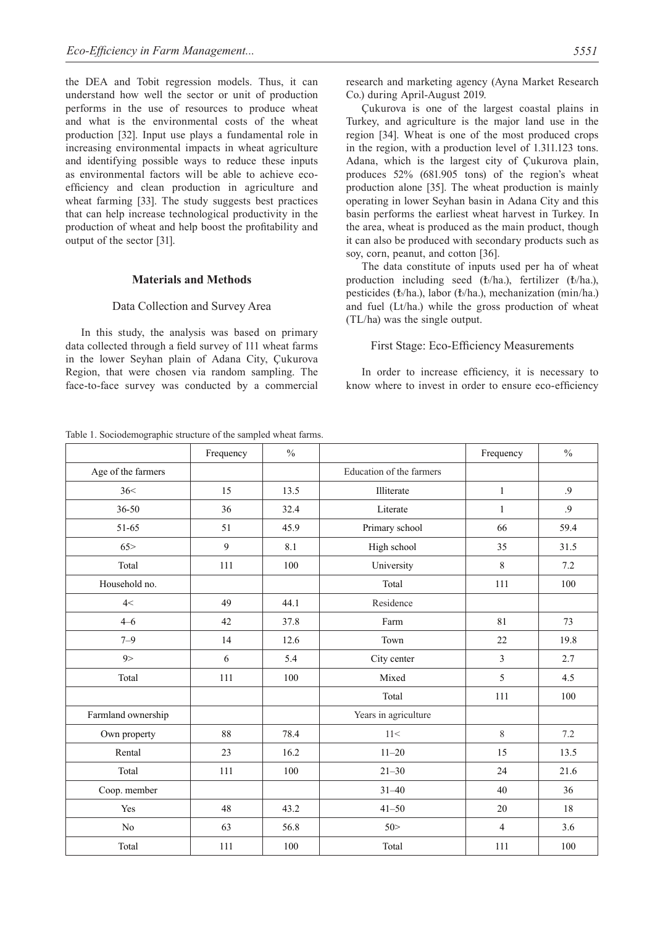the DEA and Tobit regression models. Thus, it can understand how well the sector or unit of production performs in the use of resources to produce wheat and what is the environmental costs of the wheat production [32]. Input use plays a fundamental role in increasing environmental impacts in wheat agriculture and identifying possible ways to reduce these inputs as environmental factors will be able to achieve ecoefficiency and clean production in agriculture and wheat farming [33]. The study suggests best practices that can help increase technological productivity in the production of wheat and help boost the profitability and output of the sector [31].

#### **Materials and Methods**

# Data Collection and Survey Area

In this study, the analysis was based on primary data collected through a field survey of 111 wheat farms in the lower Seyhan plain of Adana City, Çukurova Region, that were chosen via random sampling. The face-to-face survey was conducted by a commercial

Table 1. Sociodemographic structure of the sampled wheat farms.

research and marketing agency (Ayna Market Research Co.) during April-August 2019.

Çukurova is one of the largest coastal plains in Turkey, and agriculture is the major land use in the region [34]. Wheat is one of the most produced crops in the region, with a production level of 1.311.123 tons. Adana, which is the largest city of Çukurova plain, produces 52% (681.905 tons) of the region's wheat production alone [35]. The wheat production is mainly operating in lower Seyhan basin in Adana City and this basin performs the earliest wheat harvest in Turkey. In the area, wheat is produced as the main product, though it can also be produced with secondary products such as soy, corn, peanut, and cotton [36].

The data constitute of inputs used per ha of wheat production including seed (₺/ha.), fertilizer (₺/ha.), pesticides (₺/ha.), labor (₺/ha.), mechanization (min/ha.) and fuel (Lt/ha.) while the gross production of wheat (TL/ha) was the single output.

#### First Stage: Eco-Efficiency Measurements

In order to increase efficiency, it is necessary to know where to invest in order to ensure eco-efficiency

|                    | Frequency | $\frac{0}{0}$ |                          | Frequency      | $\frac{0}{0}$   |
|--------------------|-----------|---------------|--------------------------|----------------|-----------------|
| Age of the farmers |           |               | Education of the farmers |                |                 |
| 36<                | 15        | 13.5          | Illiterate               | $\mathbf{1}$   | .9              |
| $36 - 50$          | 36        | 32.4          | Literate                 | $\mathbf{1}$   | $\overline{.9}$ |
| 51-65              | 51        | 45.9          | Primary school           | 66             | 59.4            |
| 65 >               | 9         | 8.1           | High school              | 35             | 31.5            |
| Total              | 111       | 100           | University               | 8              | 7.2             |
| Household no.      |           |               | Total                    | 111            | 100             |
| 4<                 | 49        | 44.1          | Residence                |                |                 |
| $4 - 6$            | 42        | 37.8          | Farm                     | 81             | 73              |
| $7 - 9$            | 14        | 12.6          | Town<br>22               |                | 19.8            |
| 9>                 | 6         | 5.4           | City center              | $\mathfrak{Z}$ | 2.7             |
| Total              | 111       | 100           | Mixed                    | 5              | 4.5             |
|                    |           |               | Total                    | 111            | 100             |
| Farmland ownership |           |               | Years in agriculture     |                |                 |
| Own property       | 88        | 78.4          | 11<                      | $8\,$          | 7.2             |
| Rental             | 23        | 16.2          | $11 - 20$                | 15             | 13.5            |
| Total              | 111       | 100           | $21 - 30$                | 24             | 21.6            |
| Coop. member       |           |               | $31 - 40$                | 40             | 36              |
| Yes                | 48        | 43.2          | $41 - 50$                | 20             | 18              |
| N <sub>0</sub>     | 63        | 56.8          | 50 >                     | $\overline{4}$ | 3.6             |
| Total              | 111       | 100           | Total                    | 111            | 100             |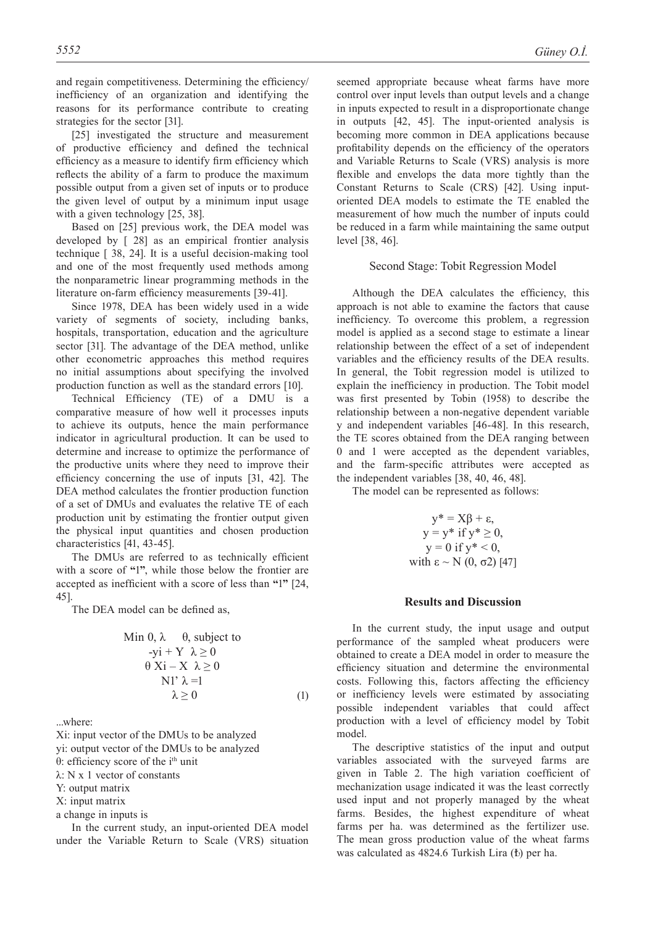and regain competitiveness. Determining the efficiency/ inefficiency of an organization and identifying the reasons for its performance contribute to creating strategies for the sector [31].

[25] investigated the structure and measurement of productive efficiency and defined the technical efficiency as a measure to identify firm efficiency which reflects the ability of a farm to produce the maximum possible output from a given set of inputs or to produce the given level of output by a minimum input usage with a given technology [25, 38].

Based on [25] previous work, the DEA model was developed by [ 28] as an empirical frontier analysis technique [ 38, 24]. It is a useful decision-making tool and one of the most frequently used methods among the nonparametric linear programming methods in the literature on-farm efficiency measurements [39-41].

Since 1978, DEA has been widely used in a wide variety of segments of society, including banks, hospitals, transportation, education and the agriculture sector [31]. The advantage of the DEA method, unlike other econometric approaches this method requires no initial assumptions about specifying the involved production function as well as the standard errors [10].

Technical Efficiency (TE) of a DMU is a comparative measure of how well it processes inputs to achieve its outputs, hence the main performance indicator in agricultural production. It can be used to determine and increase to optimize the performance of the productive units where they need to improve their efficiency concerning the use of inputs [31, 42]. The DEA method calculates the frontier production function of a set of DMUs and evaluates the relative TE of each production unit by estimating the frontier output given the physical input quantities and chosen production characteristics [41, 43-45].

The DMUs are referred to as technically efficient with a score of **"**1**"**, while those below the frontier are accepted as inefficient with a score of less than **"**1**"** [24, 45].

The DEA model can be defined as,

Min 0, 
$$
\lambda
$$
 0, subject to  
\n-yi + Y  $\lambda \ge 0$   
\n $\theta$  Xi – X  $\lambda \ge 0$   
\nNI'  $\lambda = 1$   
\n $\lambda \ge 0$  (1)

...where:

Xi: input vector of the DMUs to be analyzed

- yi: output vector of the DMUs to be analyzed θ: efficiency score of the  $i<sup>th</sup>$  unit
- λ: N x 1 vector of constants
- 
- Y: output matrix
- X: input matrix
- a change in inputs is

In the current study, an input-oriented DEA model under the Variable Return to Scale (VRS) situation seemed appropriate because wheat farms have more control over input levels than output levels and a change in inputs expected to result in a disproportionate change in outputs [42, 45]. The input-oriented analysis is becoming more common in DEA applications because profitability depends on the efficiency of the operators and Variable Returns to Scale (VRS) analysis is more flexible and envelops the data more tightly than the Constant Returns to Scale (CRS) [42]. Using inputoriented DEA models to estimate the TE enabled the measurement of how much the number of inputs could be reduced in a farm while maintaining the same output level [38, 46].

#### Second Stage: Tobit Regression Model

Although the DEA calculates the efficiency, this approach is not able to examine the factors that cause inefficiency. To overcome this problem, a regression model is applied as a second stage to estimate a linear relationship between the effect of a set of independent variables and the efficiency results of the DEA results. In general, the Tobit regression model is utilized to explain the inefficiency in production. The Tobit model was first presented by Tobin (1958) to describe the relationship between a non-negative dependent variable y and independent variables [46-48]. In this research, the TE scores obtained from the DEA ranging between 0 and 1 were accepted as the dependent variables, and the farm-specific attributes were accepted as the independent variables [38, 40, 46, 48].

The model can be represented as follows:

$$
y^* = X\beta + \varepsilon,
$$
  
\n
$$
y = y^* \text{ if } y^* \ge 0,
$$
  
\n
$$
y = 0 \text{ if } y^* < 0,
$$
  
\nwith  $\varepsilon \sim N(0, \sigma 2)$  [47]

#### **Results and Discussion**

In the current study, the input usage and output performance of the sampled wheat producers were obtained to create a DEA model in order to measure the efficiency situation and determine the environmental costs. Following this, factors affecting the efficiency or inefficiency levels were estimated by associating possible independent variables that could affect production with a level of efficiency model by Tobit model.

The descriptive statistics of the input and output variables associated with the surveyed farms are given in Table 2. The high variation coefficient of mechanization usage indicated it was the least correctly used input and not properly managed by the wheat farms. Besides, the highest expenditure of wheat farms per ha. was determined as the fertilizer use. The mean gross production value of the wheat farms was calculated as 4824.6 Turkish Lira (₺) per ha.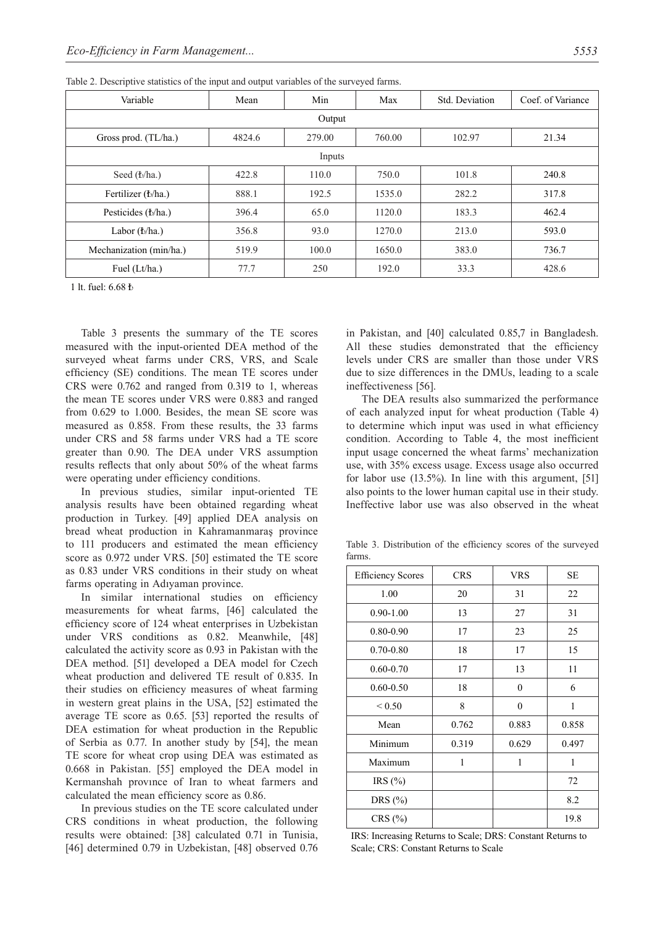| Variable                 | Mean   | Min    | Max    | Std. Deviation | Coef. of Variance |  |  |
|--------------------------|--------|--------|--------|----------------|-------------------|--|--|
| Output                   |        |        |        |                |                   |  |  |
| Gross prod. (TL/ha.)     | 4824.6 | 279.00 | 760.00 | 102.97         | 21.34             |  |  |
| Inputs                   |        |        |        |                |                   |  |  |
| Seed (b/ha.)             | 422.8  | 110.0  | 750.0  | 101.8          | 240.8             |  |  |
| Fertilizer (b/ha.)       | 888.1  | 192.5  | 1535.0 | 282.2          | 317.8             |  |  |
| Pesticides (b/ha.)       | 396.4  | 65.0   | 1120.0 | 183.3          | 462.4             |  |  |
| Labor $(\mathbf{t}/ha.)$ | 356.8  | 93.0   | 1270.0 | 213.0          | 593.0             |  |  |
| Mechanization (min/ha.)  | 519.9  | 100.0  | 1650.0 | 383.0          | 736.7             |  |  |
| Fuel (Lt/ha.)            | 77.7   | 250    | 192.0  | 33.3           | 428.6             |  |  |

Table 2. Descriptive statistics of the input and output variables of the surveyed farms.

1 lt. fuel: 6.68 ₺

Table 3 presents the summary of the TE scores measured with the input-oriented DEA method of the surveyed wheat farms under CRS, VRS, and Scale efficiency (SE) conditions. The mean TE scores under CRS were 0.762 and ranged from 0.319 to 1, whereas the mean TE scores under VRS were 0.883 and ranged from 0.629 to 1.000. Besides, the mean SE score was measured as 0.858. From these results, the 33 farms under CRS and 58 farms under VRS had a TE score greater than 0.90. The DEA under VRS assumption results reflects that only about 50% of the wheat farms were operating under efficiency conditions.

In previous studies, similar input-oriented TE analysis results have been obtained regarding wheat production in Turkey. [49] applied DEA analysis on bread wheat production in Kahramanmaraş province to 111 producers and estimated the mean efficiency score as 0.972 under VRS. [50] estimated the TE score as 0.83 under VRS conditions in their study on wheat farms operating in Adıyaman province.

In similar international studies on efficiency measurements for wheat farms, [46] calculated the efficiency score of 124 wheat enterprises in Uzbekistan under VRS conditions as 0.82. Meanwhile, [48] calculated the activity score as 0.93 in Pakistan with the DEA method. [51] developed a DEA model for Czech wheat production and delivered TE result of 0.835. In their studies on efficiency measures of wheat farming in western great plains in the USA, [52] estimated the average TE score as 0.65. [53] reported the results of DEA estimation for wheat production in the Republic of Serbia as 0.77. In another study by [54], the mean TE score for wheat crop using DEA was estimated as 0.668 in Pakistan. [55] employed the DEA model in Kermanshah provınce of Iran to wheat farmers and calculated the mean efficiency score as 0.86.

In previous studies on the TE score calculated under CRS conditions in wheat production, the following results were obtained: [38] calculated 0.71 in Tunisia, [46] determined 0.79 in Uzbekistan, [48] observed 0.76

in Pakistan, and [40] calculated 0.85,7 in Bangladesh. All these studies demonstrated that the efficiency levels under CRS are smaller than those under VRS due to size differences in the DMUs, leading to a scale ineffectiveness [56].

The DEA results also summarized the performance of each analyzed input for wheat production (Table 4) to determine which input was used in what efficiency condition. According to Table 4, the most inefficient input usage concerned the wheat farms' mechanization use, with 35% excess usage. Excess usage also occurred for labor use (13.5%). In line with this argument, [51] also points to the lower human capital use in their study. Ineffective labor use was also observed in the wheat

Table 3. Distribution of the efficiency scores of the surveyed farms.

| <b>Efficiency Scores</b> | <b>CRS</b> | <b>VRS</b>   | <b>SE</b> |
|--------------------------|------------|--------------|-----------|
| 1.00                     | 20         | 31           | 22        |
| $0.90 - 1.00$            | 13         | 27           | 31        |
| $0.80 - 0.90$            | 17         | 23           | 25        |
| $0.70 - 0.80$            | 18         | 17           | 15        |
| $0.60 - 0.70$            | 17         | 13           | 11        |
| $0.60 - 0.50$            | 18         | $\theta$     | 6         |
| ${}_{0.50}$              | 8          | $\mathbf{0}$ | 1         |
| Mean                     | 0.762      | 0.883        | 0.858     |
| Minimum                  | 0.319      | 0.629        | 0.497     |
| Maximum                  | 1          | 1            | 1         |
| IRS $(\%)$               |            |              | 72        |
| DRS $(\%)$               |            |              | 8.2       |
| CRS(%)                   |            |              | 19.8      |

IRS: Increasing Returns to Scale; DRS: Constant Returns to Scale; CRS: Constant Returns to Scale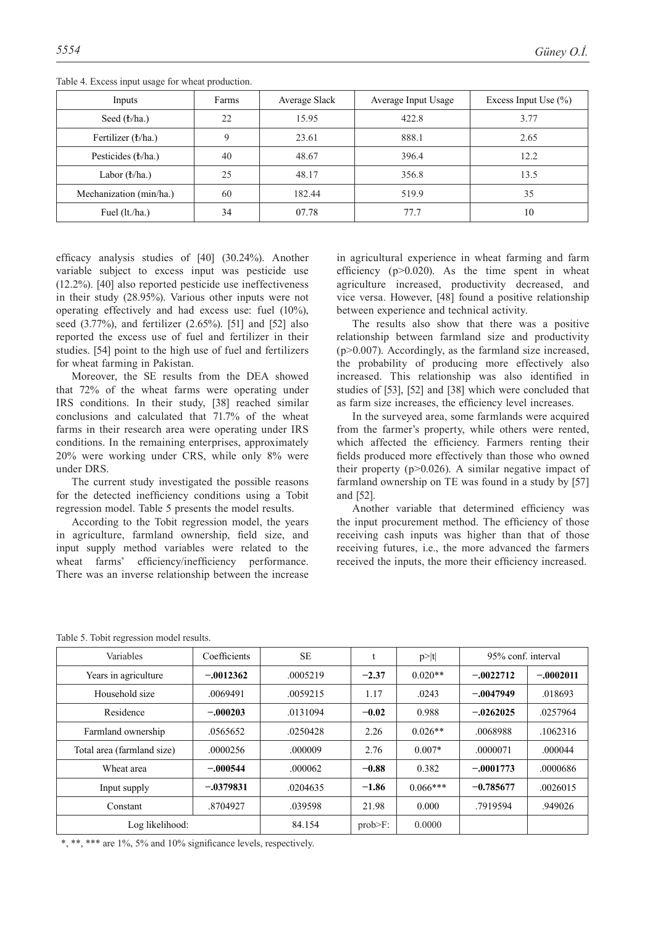| Inputs                           | Farms | Average Slack | Average Input Usage | Excess Input Use $(\% )$ |
|----------------------------------|-------|---------------|---------------------|--------------------------|
| Seed ( <i>t</i> <sub>/ha</sub> ) | 22    | 15.95         | 422.8               | 3.77                     |
| Fertilizer (b/ha.)               | 9     | 23.61         | 888.1               | 2.65                     |
| Pesticides (b/ha.)               | 40    | 48.67         | 396.4               | 12.2                     |
| Labor (b/ha.)                    | 25    | 48.17         | 356.8               | 13.5                     |
| Mechanization (min/ha.)          | 60    | 182.44        | 519.9               | 35                       |
| Fuel (lt./ha.)                   | 34    | 07.78         | 77.7                | 10                       |

Table 4. Excess input usage for wheat production.

efficacy analysis studies of [40] (30.24%). Another variable subject to excess input was pesticide use (12.2%). [40] also reported pesticide use ineffectiveness in their study (28.95%). Various other inputs were not operating effectively and had excess use: fuel (10%), seed (3.77%), and fertilizer (2.65%). [51] and [52] also reported the excess use of fuel and fertilizer in their studies. [54] point to the high use of fuel and fertilizers for wheat farming in Pakistan.

Moreover, the SE results from the DEA showed that 72% of the wheat farms were operating under IRS conditions. In their study, [38] reached similar conclusions and calculated that 71.7% of the wheat farms in their research area were operating under IRS conditions. In the remaining enterprises, approximately 20% were working under CRS, while only 8% were under DRS.

The current study investigated the possible reasons for the detected inefficiency conditions using a Tobit regression model. Table 5 presents the model results.

According to the Tobit regression model, the years in agriculture, farmland ownership, field size, and input supply method variables were related to the wheat farms' efficiency/inefficiency performance. There was an inverse relationship between the increase in agricultural experience in wheat farming and farm efficiency  $(p>0.020)$ . As the time spent in wheat agriculture increased, productivity decreased, and vice versa. However, [48] found a positive relationship between experience and technical activity.

The results also show that there was a positive relationship between farmland size and productivity (p>0.007). Accordingly, as the farmland size increased, the probability of producing more effectively also increased. This relationship was also identified in studies of [53], [52] and [38] which were concluded that as farm size increases, the efficiency level increases.

In the surveyed area, some farmlands were acquired from the farmer's property, while others were rented, which affected the efficiency. Farmers renting their fields produced more effectively than those who owned their property ( $p > 0.026$ ). A similar negative impact of farmland ownership on TE was found in a study by [57] and [52].

Another variable that determined efficiency was the input procurement method. The efficiency of those receiving cash inputs was higher than that of those receiving futures, i.e., the more advanced the farmers received the inputs, the more their efficiency increased.

|  | Table 5. Tobit regression model results. |  |
|--|------------------------------------------|--|
|  |                                          |  |

| Variables                  | Coefficients | <b>SE</b> |            | p> t       | 95% conf. interval |             |
|----------------------------|--------------|-----------|------------|------------|--------------------|-------------|
| Years in agriculture       | $-.0012362$  | .0005219  | $-2.37$    | $0.020**$  | $-.0022712$        | $-.0002011$ |
| Household size             | .0069491     | .0059215  | 1.17       | .0243      | $-.0047949$        | .018693     |
| Residence                  | $-.000203$   | .0131094  | $-0.02$    | 0.988      | $-.0262025$        | .0257964    |
| Farmland ownership         | .0565652     | .0250428  | 2.26       | $0.026**$  | .0068988           | .1062316    |
| Total area (farmland size) | .0000256     | .000009   | 2.76       | $0.007*$   | .0000071           | .000044     |
| Wheat area                 | $-.000544$   | .000062   | $-0.88$    | 0.382      | $-.0001773$        | .0000686    |
| Input supply               | $-.0379831$  | .0204635  | $-1.86$    | $0.066***$ | $-0.785677$        | .0026015    |
| Constant                   | .8704927     | .039598   | 21.98      | 0.000      | .7919594           | .949026     |
| Log likelihood:            |              | 84.154    | $prob>F$ : | 0.0000     |                    |             |

\*, \*\*, \*\*\* are 1%, 5% and 10% significance levels, respectively.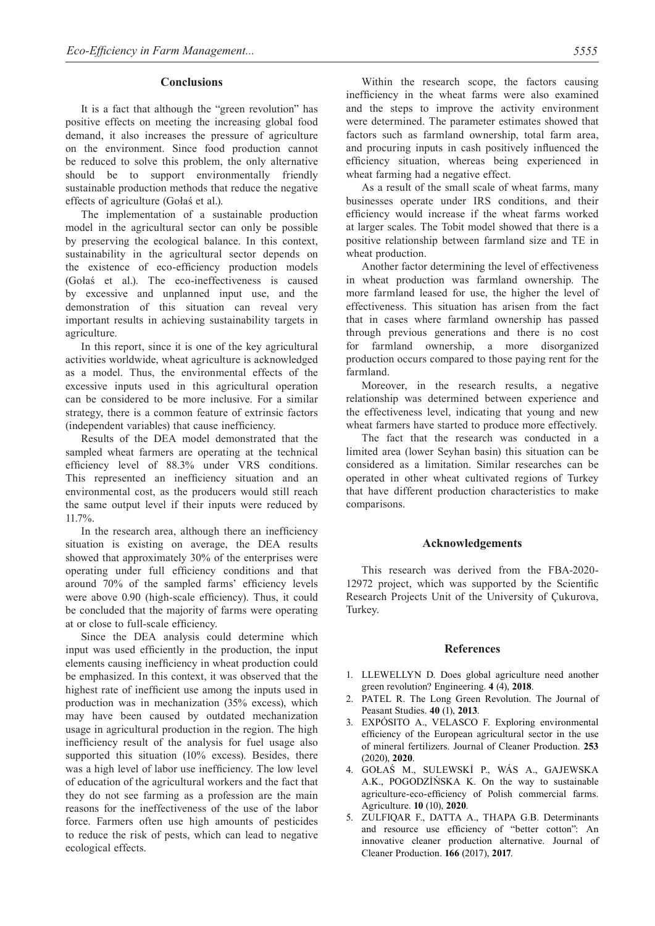#### **Conclusions**

It is a fact that although the "green revolution" has positive effects on meeting the increasing global food demand, it also increases the pressure of agriculture on the environment. Since food production cannot be reduced to solve this problem, the only alternative should be to support environmentally friendly sustainable production methods that reduce the negative effects of agriculture (Gołaś et al.).

The implementation of a sustainable production model in the agricultural sector can only be possible by preserving the ecological balance. In this context, sustainability in the agricultural sector depends on the existence of eco-efficiency production models (Gołaś et al.). The eco-ineffectiveness is caused by excessive and unplanned input use, and the demonstration of this situation can reveal very important results in achieving sustainability targets in agriculture.

In this report, since it is one of the key agricultural activities worldwide, wheat agriculture is acknowledged as a model. Thus, the environmental effects of the excessive inputs used in this agricultural operation can be considered to be more inclusive. For a similar strategy, there is a common feature of extrinsic factors (independent variables) that cause inefficiency.

Results of the DEA model demonstrated that the sampled wheat farmers are operating at the technical efficiency level of 88.3% under VRS conditions. This represented an inefficiency situation and an environmental cost, as the producers would still reach the same output level if their inputs were reduced by 11.7%.

In the research area, although there an inefficiency situation is existing on average, the DEA results showed that approximately 30% of the enterprises were operating under full efficiency conditions and that around 70% of the sampled farms' efficiency levels were above 0.90 (high-scale efficiency). Thus, it could be concluded that the majority of farms were operating at or close to full-scale efficiency.

Since the DEA analysis could determine which input was used efficiently in the production, the input elements causing inefficiency in wheat production could be emphasized. In this context, it was observed that the highest rate of inefficient use among the inputs used in production was in mechanization (35% excess), which may have been caused by outdated mechanization usage in agricultural production in the region. The high inefficiency result of the analysis for fuel usage also supported this situation (10% excess). Besides, there was a high level of labor use inefficiency. The low level of education of the agricultural workers and the fact that they do not see farming as a profession are the main reasons for the ineffectiveness of the use of the labor force. Farmers often use high amounts of pesticides to reduce the risk of pests, which can lead to negative ecological effects.

Within the research scope, the factors causing inefficiency in the wheat farms were also examined and the steps to improve the activity environment were determined. The parameter estimates showed that factors such as farmland ownership, total farm area, and procuring inputs in cash positively influenced the efficiency situation, whereas being experienced in wheat farming had a negative effect.

As a result of the small scale of wheat farms, many businesses operate under IRS conditions, and their efficiency would increase if the wheat farms worked at larger scales. The Tobit model showed that there is a positive relationship between farmland size and TE in wheat production.

Another factor determining the level of effectiveness in wheat production was farmland ownership. The more farmland leased for use, the higher the level of effectiveness. This situation has arisen from the fact that in cases where farmland ownership has passed through previous generations and there is no cost for farmland ownership, a more disorganized production occurs compared to those paying rent for the farmland.

Moreover, in the research results, a negative relationship was determined between experience and the effectiveness level, indicating that young and new wheat farmers have started to produce more effectively.

The fact that the research was conducted in a limited area (lower Seyhan basin) this situation can be considered as a limitation. Similar researches can be operated in other wheat cultivated regions of Turkey that have different production characteristics to make comparisons.

### **Acknowledgements**

This research was derived from the FBA-2020- 12972 project, which was supported by the Scientific Research Projects Unit of the University of Çukurova, Turkey.

# **References**

- 1. LLEWELLYN D. Does global agriculture need another green revolution? Engineering. **4** (4), **2018**.
- 2. PATEL R. The Long Green Revolution. The Journal of Peasant Studies. **40** (1), **2013**.
- 3. EXPÓSITO A., VELASCO F. Exploring environmental efficiency of the European agricultural sector in the use of mineral fertilizers. Journal of Cleaner Production. **253** (2020), **2020**.
- 4. GOŁAŚ M., SULEWSKİ P., WÁS A., GAJEWSKA A.K., POGODZİŃSKA K. On the way to sustainable agriculture-eco-efficiency of Polish commercial farms. Agriculture. **10** (10), **2020**.
- 5. ZULFIQAR F., DATTA A., THAPA G.B. Determinants and resource use efficiency of "better cotton": An innovative cleaner production alternative. Journal of Cleaner Production. **166** (2017), **2017**.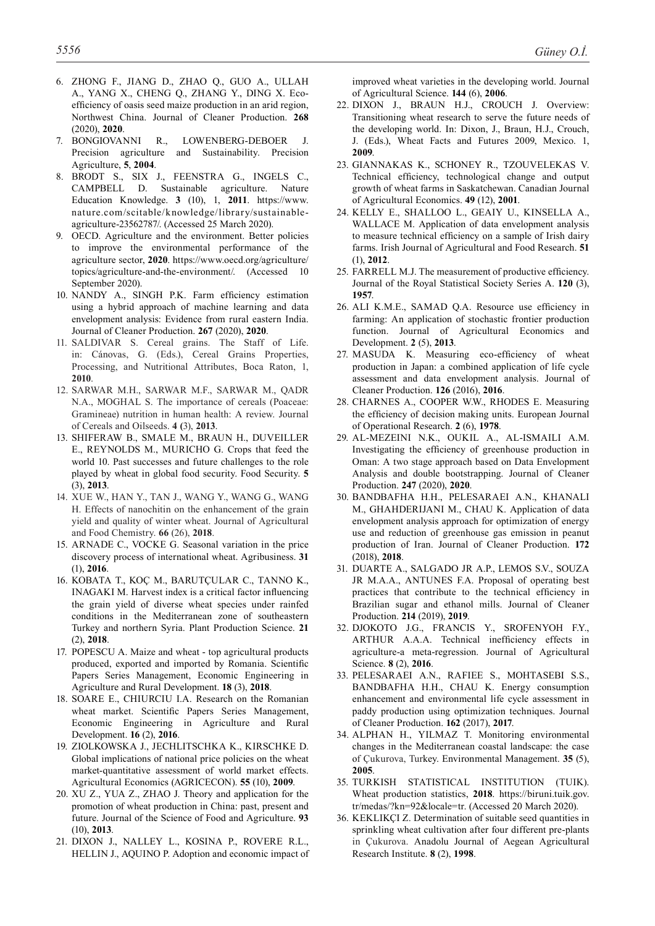- 6. ZHONG F., JIANG D., ZHAO Q., GUO A., ULLAH A., YANG X., CHENG Q., ZHANG Y., Ding X. Ecoefficiency of oasis seed maize production in an arid region, Northwest China. Journal of Cleaner Production. **268** (2020), **2020**.
- 7. BONGIOVANNI R., LOWENBERG-DEBOER J. Precision agriculture and Sustainability. Precision Agriculture, **5**, **2004**.
- 8. BRODT S., SIX J., FEENSTRA G., INGELS C., CAMPBELL D. Sustainable agriculture. Nature Education Knowledge. **3** (10), 1, **2011**. https://www. nature.com/scitable/knowledge/library/sustainableagriculture-23562787/. (Accessed 25 March 2020).
- 9. OECD. Agriculture and the environment. Better policies to improve the environmental performance of the agriculture sector, **2020**. https://www.oecd.org/agriculture/ topics/agriculture-and-the-environment/. (Accessed 10 September 2020).
- 10. NANDY A., SINGH P.K. Farm efficiency estimation using a hybrid approach of machine learning and data envelopment analysis: Evidence from rural eastern India. Journal of Cleaner Production. **267** (2020), **2020**.
- 11. SALDIVAR S. Cereal grains. The Staff of Life. in: Cánovas, G. (Eds.), Cereal Grains Properties, Processing, and Nutritional Attributes, Boca Raton, 1, **2010**.
- 12. SARWAR M.H., SARWAR M.F., SARWAR M., QADR N.A., MOGHAL S. The importance of cereals (Poaceae: Gramineae) nutrition in human health: A review. Journal of Cereals and Oilseeds. **4 (**3), **2013**.
- 13. SHIFERAW B., SMALE M., BRAUN H., DUVEILLER E., REYNOLDS M., MURICHO G. Crops that feed the world 10. Past successes and future challenges to the role played by wheat in global food security. Food Security. **5**  (3), **2013**.
- 14. XUE W., HAN Y., TAN J., WANG Y., WANG G., WANG H. Effects of nanochitin on the enhancement of the grain yield and quality of winter wheat. Journal of Agricultural and Food Chemistry. **66** (26), **2018**.
- 15. ARNADE C., VOCKE G. Seasonal variation in the price discovery process of international wheat. Agribusiness. **31**  (1), **2016**.
- 16. KOBATA T., KOÇ M., BARUTÇULAR C., TANNO K., INAGAKI M. Harvest index is a critical factor influencing the grain yield of diverse wheat species under rainfed conditions in the Mediterranean zone of southeastern Turkey and northern Syria. Plant Production Science. **21** (2), **2018**.
- 17. POPESCU A. Maize and wheat top agricultural products produced, exported and imported by Romania. Scientific Papers Series Management, Economic Engineering in Agriculture and Rural Development. **18** (3), **2018**.
- 18. SOARE E., CHIURCIU I.A. Research on the Romanian wheat market. Scientific Papers Series Management, Economic Engineering in Agriculture and Rural Development. **16** (2), **2016**.
- 19. ZIOLKOWSKA J., JECHLITSCHKA K., KIRSCHKE D. Global implications of national price policies on the wheat market-quantitative assessment of world market effects. Agricultural Economics (AGRICECON). **55** (10), **2009**.
- 20. XU Z., YUA Z., ZHAO J. Theory and application for the promotion of wheat production in China: past, present and future. Journal of the Science of Food and Agriculture. **93** (10), **2013**.
- 21. DIXON J., NALLEY L., KOSINA P., ROVERE R.L., HELLIN J., AQUINO P. Adoption and economic impact of

improved wheat varieties in the developing world. Journal of Agricultural Science. **144** (6), **2006**.

- 22. DIXON J., BRAUN H.J., CROUCH J. Overview: Transitioning wheat research to serve the future needs of the developing world. In: Dixon, J., Braun, H.J., Crouch, J. (Eds.), Wheat Facts and Futures 2009, Mexico. 1, **2009**.
- 23. GIANNAKAS K., SCHONEY R., TZOUVELEKAS V. Technical efficiency, technological change and output growth of wheat farms in Saskatchewan. Canadian Journal of Agricultural Economics. **49** (12), **2001**.
- 24. KELLY E., SHALLOO L., GEAIY U., KINSELLA A., WALLACE M. Application of data envelopment analysis to measure technical efficiency on a sample of Irish dairy farms. Irish Journal of Agricultural and Food Research. **51** (1), **2012**.
- 25. FARRELL M.J. The measurement of productive efficiency. Journal of the Royal Statistical Society Series A. **120** (3), **1957**.
- 26. ALI K.M.E., SAMAD Q.A. Resource use efficiency in farming: An application of stochastic frontier production function. Journal of Agricultural Economics and Development. **2** (5), **2013**.
- 27. MASUDA K. Measuring eco-efficiency of wheat production in Japan: a combined application of life cycle assessment and data envelopment analysis. Journal of Cleaner Production. **126** (2016), **2016**.
- 28. CHARNES A., COOPER W.W., RHODES E. Measuring the efficiency of decision making units. European Journal of Operational Research. **2** (6), **1978**.
- 29. AL-MEZEINI N.K., OUKIL A., AL-ISMAILI A.M. Investigating the efficiency of greenhouse production in Oman: A two stage approach based on Data Envelopment Analysis and double bootstrapping. Journal of Cleaner Production. **247** (2020), **2020**.
- 30. BANDBAFHA H.H., PELESARAEI A.N., KHANALI M., GHAHDERIJANI M., CHAU K. Application of data envelopment analysis approach for optimization of energy use and reduction of greenhouse gas emission in peanut production of Iran. Journal of Cleaner Production. **172** (2018), **2018**.
- 31. DUARTE A., SALGADO JR A.P., LEMOS S.V., SOUZA JR M.A.A., ANTUNES F.A. Proposal of operating best practices that contribute to the technical efficiency in Brazilian sugar and ethanol mills. Journal of Cleaner Production. **214** (2019), **2019**.
- 32. DJOKOTO J.G., FRANCIS Y., SROFENYOH F.Y., ARTHUR A.A.A. Technical inefficiency effects in agriculture-a meta-regression. Journal of Agricultural Science. **8** (2), **2016**.
- 33. PELESARAEI A.N., RAFIEE S., MOHTASEBI S.S., BANDBAFHA H.H., CHAU K. Energy consumption enhancement and environmental life cycle assessment in paddy production using optimization techniques. Journal of Cleaner Production. **162** (2017), **2017**.
- 34. ALPHAN H., YILMAZ T. Monitoring environmental changes in the Mediterranean coastal landscape: the case of Çukurova, Turkey. Environmental Management. **35** (5), **2005**.
- 35. TURKISH STATISTICAL INSTITUTION (TUIK). Wheat production statistics, **2018**. https://biruni.tuik.gov. tr/medas/?kn=92&locale=tr. (Accessed 20 March 2020).
- 36. KEKLIKÇI Z. Determination of suitable seed quantities in sprinkling wheat cultivation after four different pre-plants in Çukurova. Anadolu Journal of Aegean Agricultural Research Institute. **8** (2), **1998**.